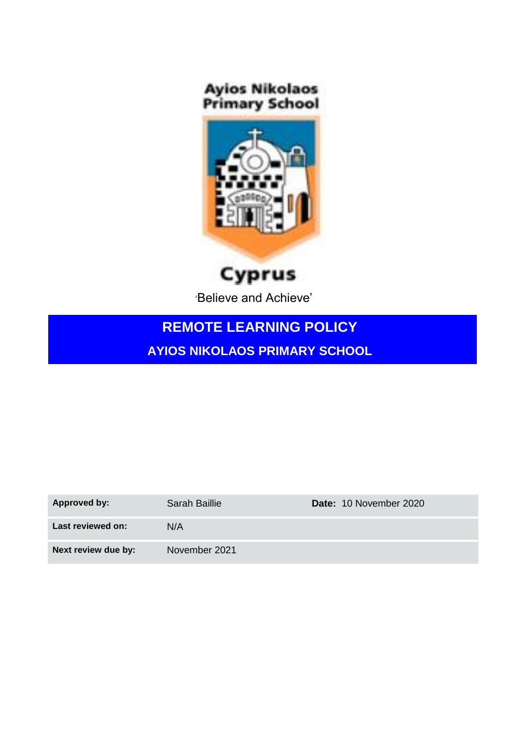**Ayios Nikolaos<br>Primary School** 



Cyprus

'Believe and Achieve'

# **REMOTE LEARNING POLICY**

**AYIOS NIKOLAOS PRIMARY SCHOOL**

| Approved by:        | Sarah Baillie | Date: 10 November 2020 |
|---------------------|---------------|------------------------|
| Last reviewed on:   | N/A           |                        |
| Next review due by: | November 2021 |                        |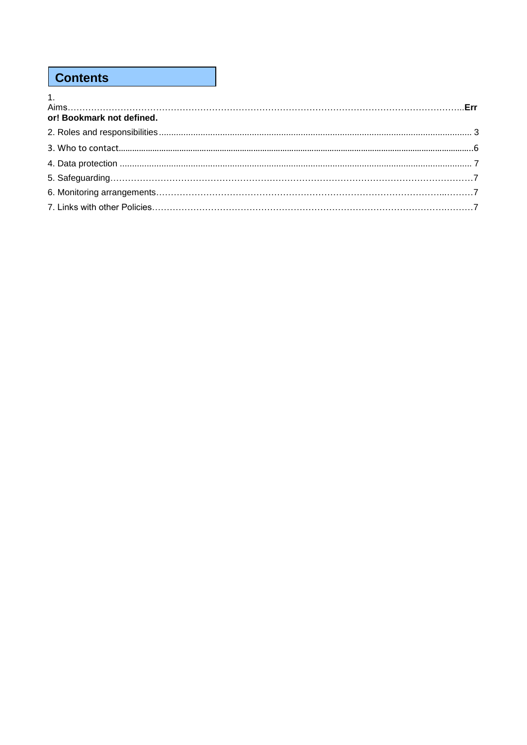## **Contents**

| $\mathbf 1$               |  |
|---------------------------|--|
| or! Bookmark not defined. |  |
|                           |  |
|                           |  |
|                           |  |
|                           |  |
|                           |  |
|                           |  |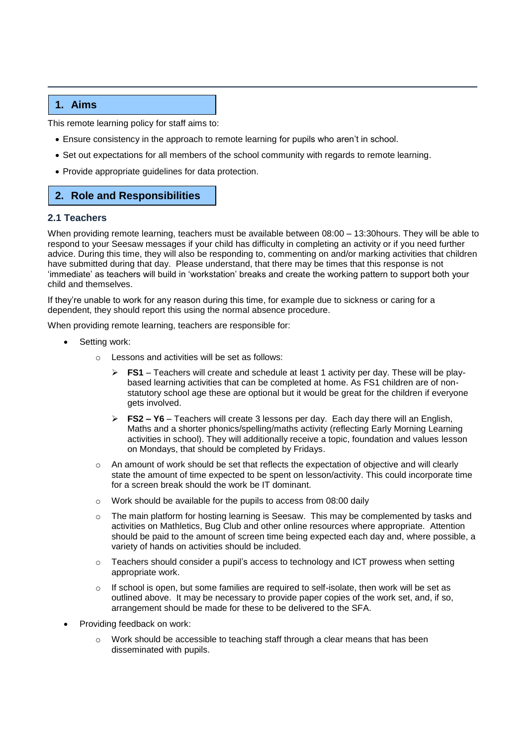## **1. Aims**

This remote learning policy for staff aims to:

- Ensure consistency in the approach to remote learning for pupils who aren't in school.
- Set out expectations for all members of the school community with regards to remote learning.
- Provide appropriate guidelines for data protection.

## <span id="page-2-0"></span>**2. Role and Responsibilities**

## **2.1 Teachers**

When providing remote learning, teachers must be available between 08:00 – 13:30hours. They will be able to respond to your Seesaw messages if your child has difficulty in completing an activity or if you need further advice. During this time, they will also be responding to, commenting on and/or marking activities that children have submitted during that day. Please understand, that there may be times that this response is not 'immediate' as teachers will build in 'workstation' breaks and create the working pattern to support both your child and themselves.

If they're unable to work for any reason during this time, for example due to sickness or caring for a dependent, they should report this using the normal absence procedure.

When providing remote learning, teachers are responsible for:

- Setting work:
	- o Lessons and activities will be set as follows:
		- ➢ **FS1** Teachers will create and schedule at least 1 activity per day. These will be playbased learning activities that can be completed at home. As FS1 children are of nonstatutory school age these are optional but it would be great for the children if everyone gets involved.
		- ➢ **FS2 – Y6** Teachers will create 3 lessons per day. Each day there will an English, Maths and a shorter phonics/spelling/maths activity (reflecting Early Morning Learning activities in school). They will additionally receive a topic, foundation and values lesson on Mondays, that should be completed by Fridays.
	- $\circ$  An amount of work should be set that reflects the expectation of objective and will clearly state the amount of time expected to be spent on lesson/activity. This could incorporate time for a screen break should the work be IT dominant.
	- o Work should be available for the pupils to access from 08:00 daily
	- $\circ$  The main platform for hosting learning is Seesaw. This may be complemented by tasks and activities on Mathletics, Bug Club and other online resources where appropriate. Attention should be paid to the amount of screen time being expected each day and, where possible, a variety of hands on activities should be included.
	- $\circ$  Teachers should consider a pupil's access to technology and ICT prowess when setting appropriate work.
	- $\circ$  If school is open, but some families are required to self-isolate, then work will be set as outlined above. It may be necessary to provide paper copies of the work set, and, if so, arrangement should be made for these to be delivered to the SFA.
- Providing feedback on work:
	- o Work should be accessible to teaching staff through a clear means that has been disseminated with pupils.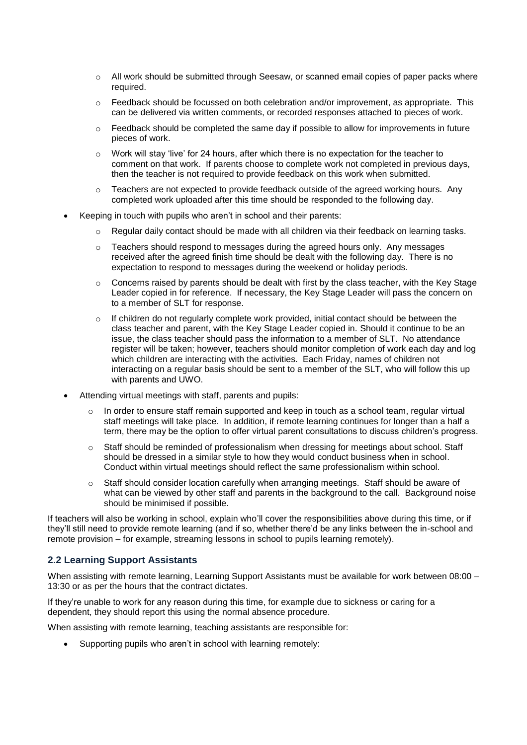- $\circ$  All work should be submitted through Seesaw, or scanned email copies of paper packs where required.
- o Feedback should be focussed on both celebration and/or improvement, as appropriate. This can be delivered via written comments, or recorded responses attached to pieces of work.
- $\circ$  Feedback should be completed the same day if possible to allow for improvements in future pieces of work.
- $\circ$  Work will stay 'live' for 24 hours, after which there is no expectation for the teacher to comment on that work. If parents choose to complete work not completed in previous days, then the teacher is not required to provide feedback on this work when submitted.
- $\circ$  Teachers are not expected to provide feedback outside of the agreed working hours. Any completed work uploaded after this time should be responded to the following day.
- Keeping in touch with pupils who aren't in school and their parents:
	- $\circ$  Regular daily contact should be made with all children via their feedback on learning tasks.
	- o Teachers should respond to messages during the agreed hours only. Any messages received after the agreed finish time should be dealt with the following day. There is no expectation to respond to messages during the weekend or holiday periods.
	- $\circ$  Concerns raised by parents should be dealt with first by the class teacher, with the Key Stage Leader copied in for reference. If necessary, the Key Stage Leader will pass the concern on to a member of SLT for response.
	- $\circ$  If children do not regularly complete work provided, initial contact should be between the class teacher and parent, with the Key Stage Leader copied in. Should it continue to be an issue, the class teacher should pass the information to a member of SLT. No attendance register will be taken; however, teachers should monitor completion of work each day and log which children are interacting with the activities. Each Friday, names of children not interacting on a regular basis should be sent to a member of the SLT, who will follow this up with parents and UWO.
- Attending virtual meetings with staff, parents and pupils:
	- o In order to ensure staff remain supported and keep in touch as a school team, regular virtual staff meetings will take place. In addition, if remote learning continues for longer than a half a term, there may be the option to offer virtual parent consultations to discuss children's progress.
	- $\circ$  Staff should be reminded of professionalism when dressing for meetings about school. Staff should be dressed in a similar style to how they would conduct business when in school. Conduct within virtual meetings should reflect the same professionalism within school.
	- o Staff should consider location carefully when arranging meetings. Staff should be aware of what can be viewed by other staff and parents in the background to the call. Background noise should be minimised if possible.

If teachers will also be working in school, explain who'll cover the responsibilities above during this time, or if they'll still need to provide remote learning (and if so, whether there'd be any links between the in-school and remote provision – for example, streaming lessons in school to pupils learning remotely).

## **2.2 Learning Support Assistants**

When assisting with remote learning, Learning Support Assistants must be available for work between 08:00 -13:30 or as per the hours that the contract dictates.

If they're unable to work for any reason during this time, for example due to sickness or caring for a dependent, they should report this using the normal absence procedure.

When assisting with remote learning, teaching assistants are responsible for:

Supporting pupils who aren't in school with learning remotely: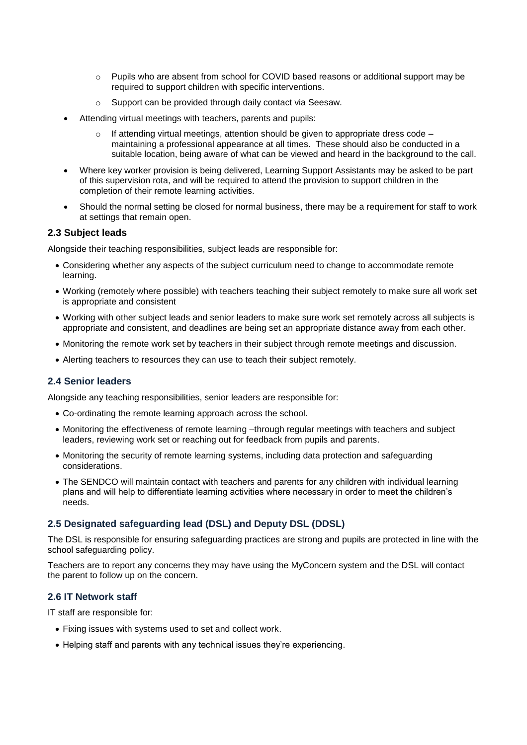- $\circ$  Pupils who are absent from school for COVID based reasons or additional support may be required to support children with specific interventions.
- o Support can be provided through daily contact via Seesaw.
- Attending virtual meetings with teachers, parents and pupils:
	- If attending virtual meetings, attention should be given to appropriate dress code maintaining a professional appearance at all times. These should also be conducted in a suitable location, being aware of what can be viewed and heard in the background to the call.
- Where key worker provision is being delivered, Learning Support Assistants may be asked to be part of this supervision rota, and will be required to attend the provision to support children in the completion of their remote learning activities.
- Should the normal setting be closed for normal business, there may be a requirement for staff to work at settings that remain open.

#### **2.3 Subject leads**

Alongside their teaching responsibilities, subject leads are responsible for:

- Considering whether any aspects of the subject curriculum need to change to accommodate remote learning.
- Working (remotely where possible) with teachers teaching their subject remotely to make sure all work set is appropriate and consistent
- Working with other subject leads and senior leaders to make sure work set remotely across all subjects is appropriate and consistent, and deadlines are being set an appropriate distance away from each other.
- Monitoring the remote work set by teachers in their subject through remote meetings and discussion.
- Alerting teachers to resources they can use to teach their subject remotely.

## **2.4 Senior leaders**

Alongside any teaching responsibilities, senior leaders are responsible for:

- Co-ordinating the remote learning approach across the school.
- Monitoring the effectiveness of remote learning –through regular meetings with teachers and subject leaders, reviewing work set or reaching out for feedback from pupils and parents.
- Monitoring the security of remote learning systems, including data protection and safeguarding considerations.
- The SENDCO will maintain contact with teachers and parents for any children with individual learning plans and will help to differentiate learning activities where necessary in order to meet the children's needs.

## **2.5 Designated safeguarding lead (DSL) and Deputy DSL (DDSL)**

The DSL is responsible for ensuring safeguarding practices are strong and pupils are protected in line with the school safeguarding policy.

Teachers are to report any concerns they may have using the MyConcern system and the DSL will contact the parent to follow up on the concern.

#### **2.6 IT Network staff**

IT staff are responsible for:

- Fixing issues with systems used to set and collect work.
- Helping staff and parents with any technical issues they're experiencing.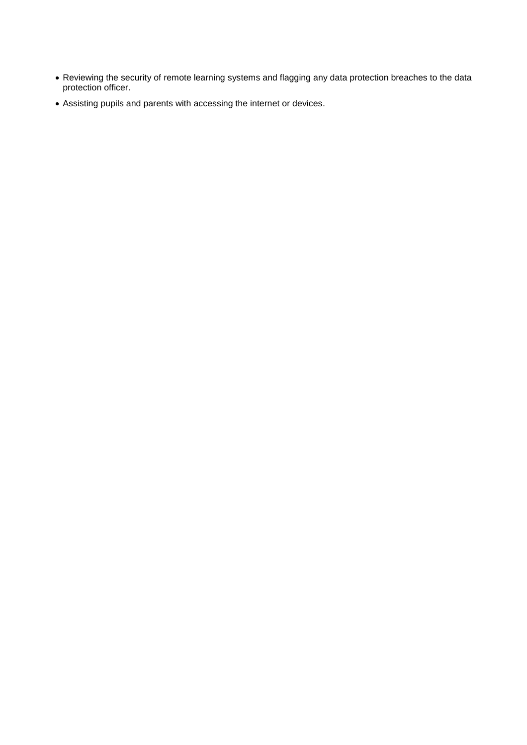- Reviewing the security of remote learning systems and flagging any data protection breaches to the data protection officer.
- Assisting pupils and parents with accessing the internet or devices.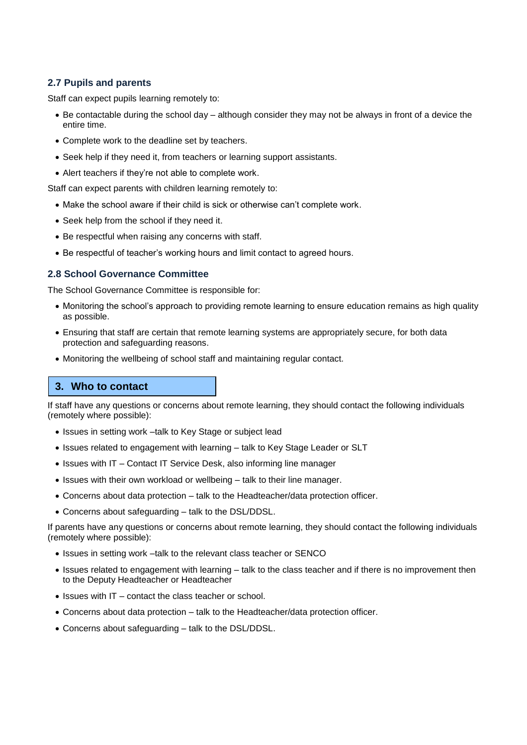## **2.7 Pupils and parents**

Staff can expect pupils learning remotely to:

- Be contactable during the school day although consider they may not be always in front of a device the entire time.
- Complete work to the deadline set by teachers.
- Seek help if they need it, from teachers or learning support assistants.
- Alert teachers if they're not able to complete work.

Staff can expect parents with children learning remotely to:

- Make the school aware if their child is sick or otherwise can't complete work.
- Seek help from the school if they need it.
- Be respectful when raising any concerns with staff.
- Be respectful of teacher's working hours and limit contact to agreed hours.

## **2.8 School Governance Committee**

The School Governance Committee is responsible for:

- Monitoring the school's approach to providing remote learning to ensure education remains as high quality as possible.
- Ensuring that staff are certain that remote learning systems are appropriately secure, for both data protection and safeguarding reasons.
- Monitoring the wellbeing of school staff and maintaining regular contact.

## **3. Who to contact**

If staff have any questions or concerns about remote learning, they should contact the following individuals (remotely where possible):

- Issues in setting work –talk to Key Stage or subject lead
- Issues related to engagement with learning talk to Key Stage Leader or SLT
- Issues with IT Contact IT Service Desk, also informing line manager
- Issues with their own workload or wellbeing talk to their line manager.
- Concerns about data protection talk to the Headteacher/data protection officer.
- Concerns about safeguarding talk to the DSL/DDSL.

If parents have any questions or concerns about remote learning, they should contact the following individuals (remotely where possible):

- Issues in setting work –talk to the relevant class teacher or SENCO
- Issues related to engagement with learning talk to the class teacher and if there is no improvement then to the Deputy Headteacher or Headteacher
- Issues with IT contact the class teacher or school.
- Concerns about data protection talk to the Headteacher/data protection officer.
- Concerns about safeguarding talk to the DSL/DDSL.